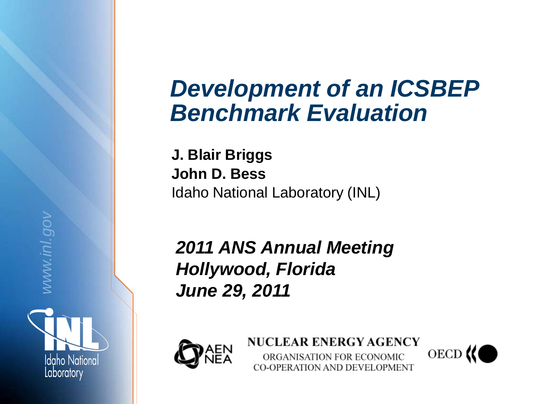## *Development of an ICSBEP Benchmark Evaluation*

**J. Blair Briggs John D. Bess**  Idaho National Laboratory (INL)

*2011 ANS Annual Meeting Hollywood, Florida June 29, 2011*



*www.inl.gov*

**Idgho National** 

Laboratory

**NUCLEAR ENERGY AGENCY** ORGANISATION FOR ECONOMIC CO-OPERATION AND DEVELOPMENT

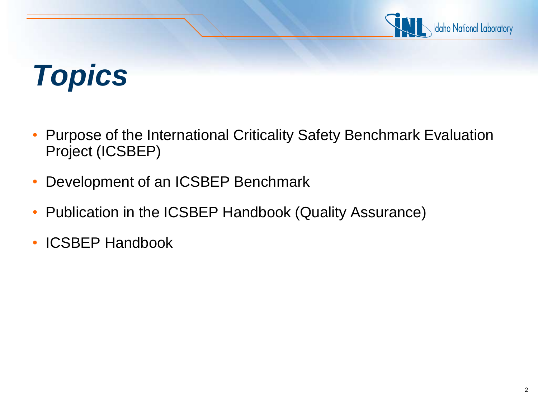

# *Topics*

- Purpose of the International Criticality Safety Benchmark Evaluation Project (ICSBEP)
- Development of an ICSBEP Benchmark
- Publication in the ICSBEP Handbook (Quality Assurance)
- ICSBEP Handbook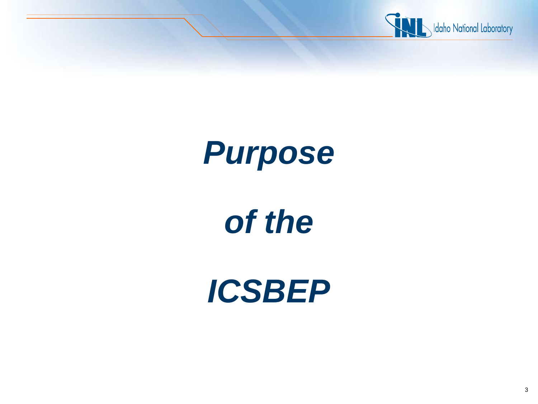

# *Purpose*

# *of the*

*ICSBEP*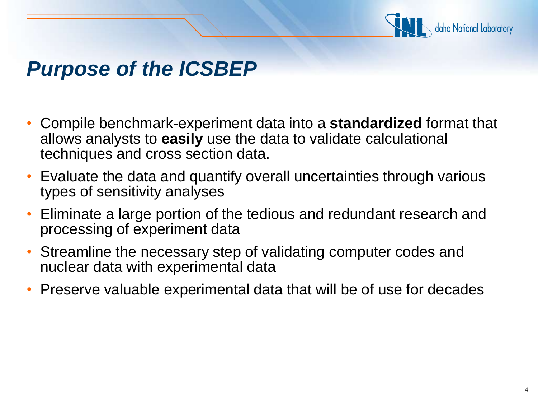

### *Purpose of the ICSBEP*

- Compile benchmark-experiment data into a **standardized** format that allows analysts to **easily** use the data to validate calculational techniques and cross section data.
- Evaluate the data and quantify overall uncertainties through various types of sensitivity analyses
- Eliminate a large portion of the tedious and redundant research and processing of experiment data
- Streamline the necessary step of validating computer codes and nuclear data with experimental data
- Preserve valuable experimental data that will be of use for decades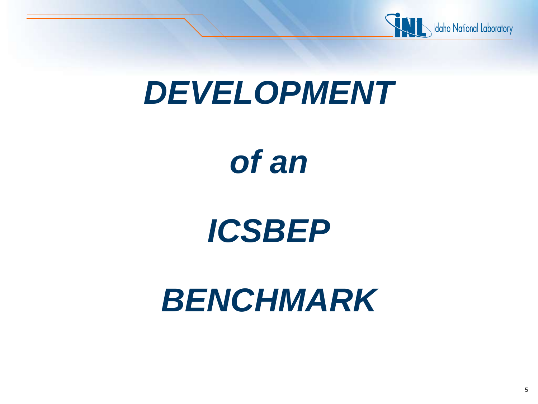

## *DEVELOPMENT*

# *of an*

## *ICSBEP*

# *BENCHMARK*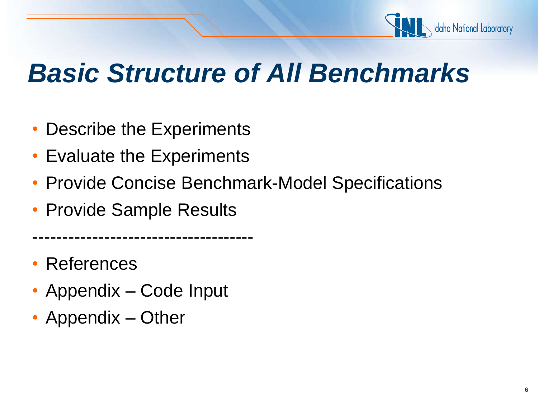

## *Basic Structure of All Benchmarks*

- Describe the Experiments
- Evaluate the Experiments
- Provide Concise Benchmark-Model Specifications
- Provide Sample Results

-------------------------------------

• References

- Appendix Code Input
- Appendix Other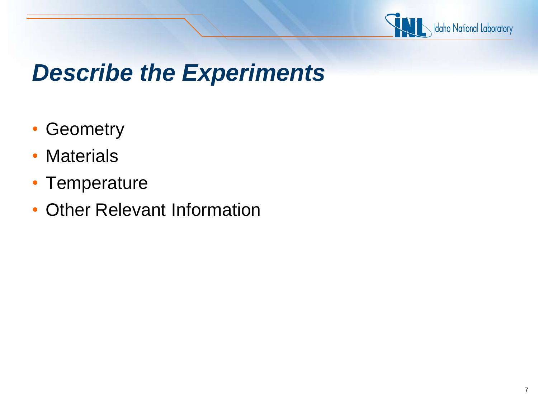

## *Describe the Experiments*

- Geometry
- Materials
- Temperature
- Other Relevant Information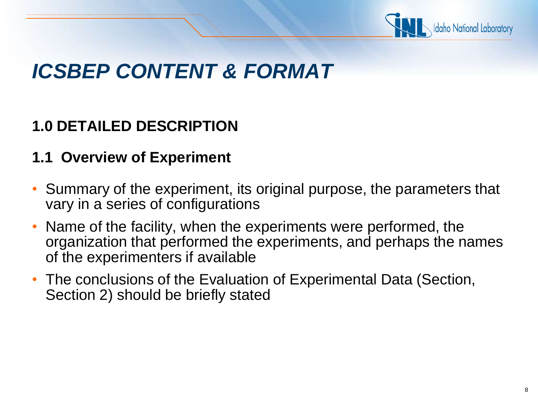

### *ICSBEP CONTENT & FORMAT*

#### **1.0 DETAILED DESCRIPTION**

#### **1.1 Overview of Experiment**

- Summary of the experiment, its original purpose, the parameters that vary in a series of configurations
- Name of the facility, when the experiments were performed, the organization that performed the experiments, and perhaps the names of the experimenters if available
- The conclusions of the Evaluation of Experimental Data (Section, Section 2) should be briefly stated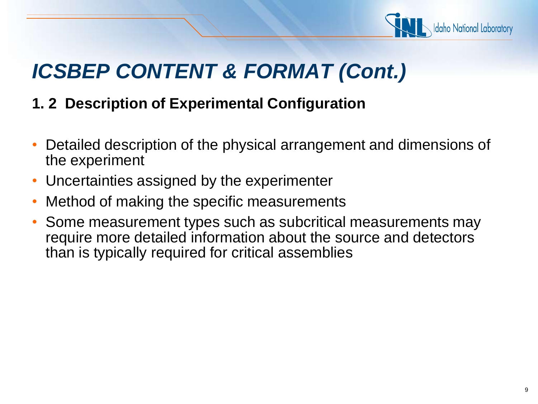

#### **1. 2 Description of Experimental Configuration**

- Detailed description of the physical arrangement and dimensions of the experiment
- Uncertainties assigned by the experimenter
- Method of making the specific measurements
- Some measurement types such as subcritical measurements may require more detailed information about the source and detectors than is typically required for critical assemblies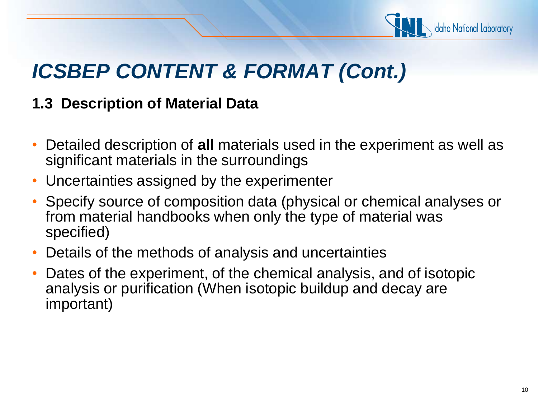

#### **1.3 Description of Material Data**

- Detailed description of **all** materials used in the experiment as well as significant materials in the surroundings
- Uncertainties assigned by the experimenter
- Specify source of composition data (physical or chemical analyses or from material handbooks when only the type of material was specified)
- Details of the methods of analysis and uncertainties
- Dates of the experiment, of the chemical analysis, and of isotopic analysis or purification (When isotopic buildup and decay are important)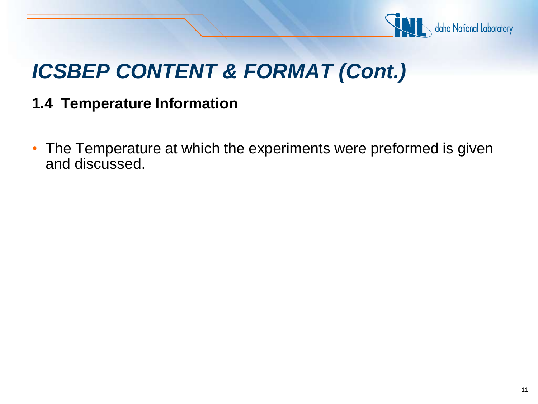

#### **1.4 Temperature Information**

• The Temperature at which the experiments were preformed is given and discussed.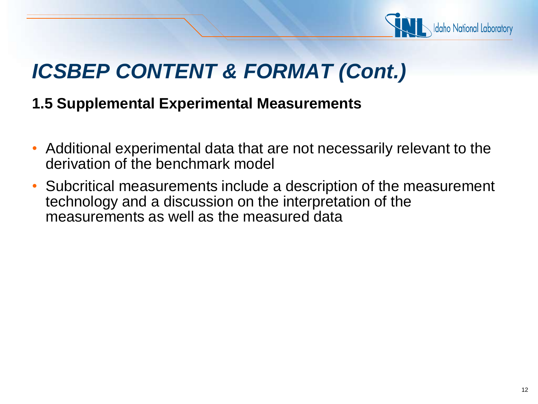

#### **1.5 Supplemental Experimental Measurements**

- Additional experimental data that are not necessarily relevant to the derivation of the benchmark model
- Subcritical measurements include a description of the measurement technology and a discussion on the interpretation of the measurements as well as the measured data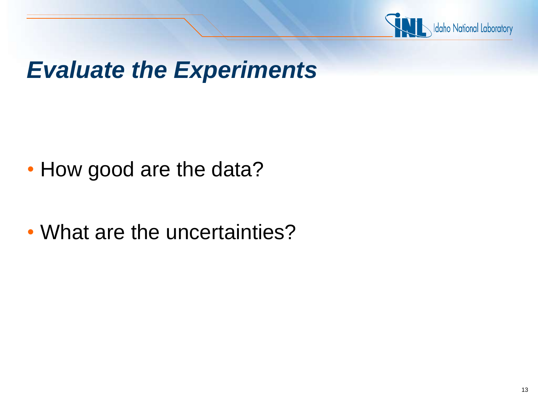

## *Evaluate the Experiments*

- How good are the data?
- What are the uncertainties?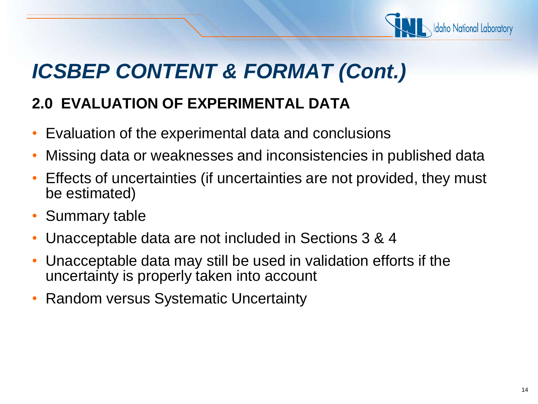

#### **2.0 EVALUATION OF EXPERIMENTAL DATA**

- Evaluation of the experimental data and conclusions
- Missing data or weaknesses and inconsistencies in published data
- Effects of uncertainties (if uncertainties are not provided, they must be estimated)
- Summary table
- Unacceptable data are not included in Sections 3 & 4
- Unacceptable data may still be used in validation efforts if the uncertainty is properly taken into account
- Random versus Systematic Uncertainty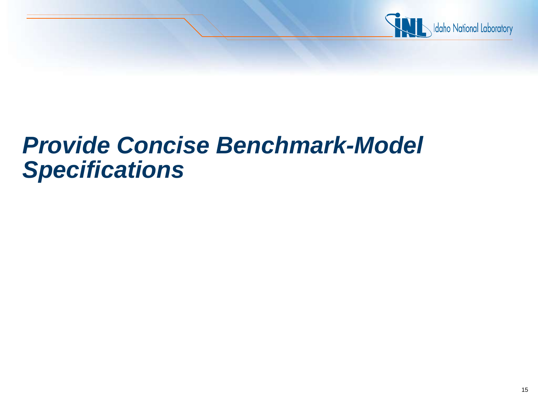

## *Provide Concise Benchmark-Model Specifications*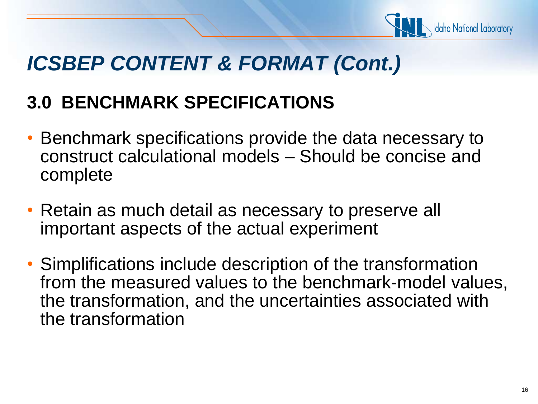

### **3.0 BENCHMARK SPECIFICATIONS**

- Benchmark specifications provide the data necessary to construct calculational models – Should be concise and complete
- Retain as much detail as necessary to preserve all important aspects of the actual experiment
- Simplifications include description of the transformation from the measured values to the benchmark-model values, the transformation, and the uncertainties associated with the transformation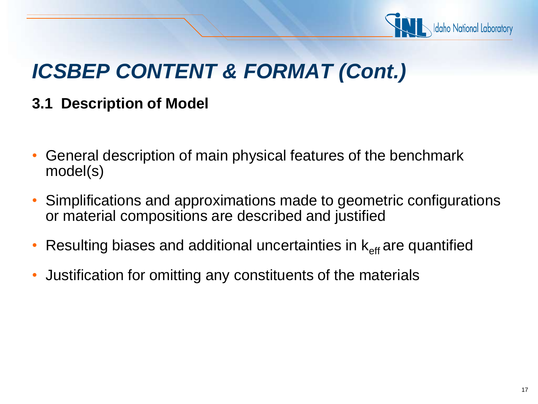

#### **3.1 Description of Model**

- General description of main physical features of the benchmark model(s)
- Simplifications and approximations made to geometric configurations or material compositions are described and justified
- Resulting biases and additional uncertainties in  $k_{\text{eff}}$  are quantified
- Justification for omitting any constituents of the materials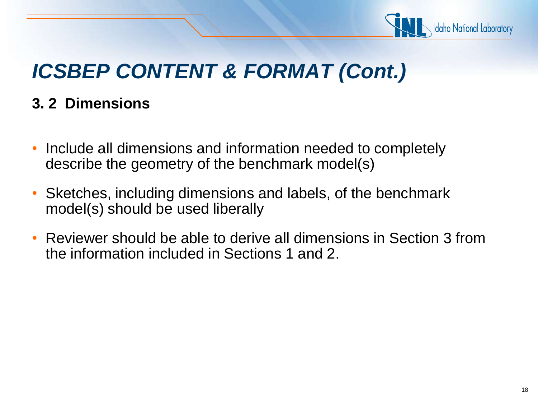

#### **3. 2 Dimensions**

- Include all dimensions and information needed to completely describe the geometry of the benchmark model(s)
- Sketches, including dimensions and labels, of the benchmark model(s) should be used liberally
- Reviewer should be able to derive all dimensions in Section 3 from the information included in Sections 1 and 2.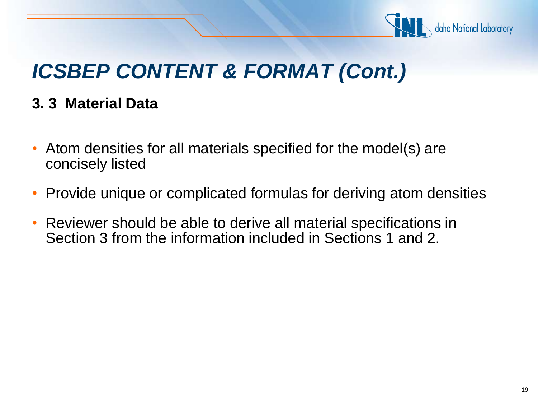

#### **3. 3 Material Data**

- Atom densities for all materials specified for the model(s) are concisely listed
- Provide unique or complicated formulas for deriving atom densities
- Reviewer should be able to derive all material specifications in Section 3 from the information included in Sections 1 and 2.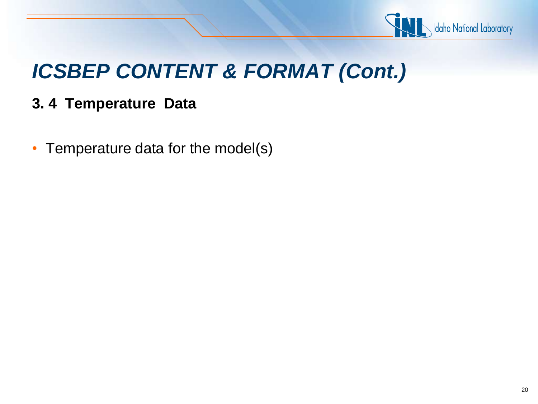

#### **3. 4 Temperature Data**

• Temperature data for the model(s)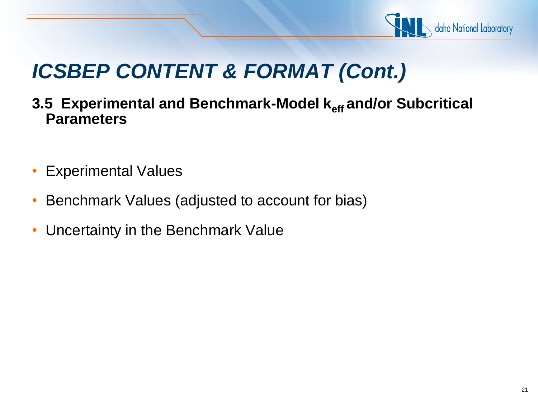

- **3.5 Experimental and Benchmark-Model keff and/or Subcritical Parameters**
- Experimental Values
- Benchmark Values (adjusted to account for bias)
- Uncertainty in the Benchmark Value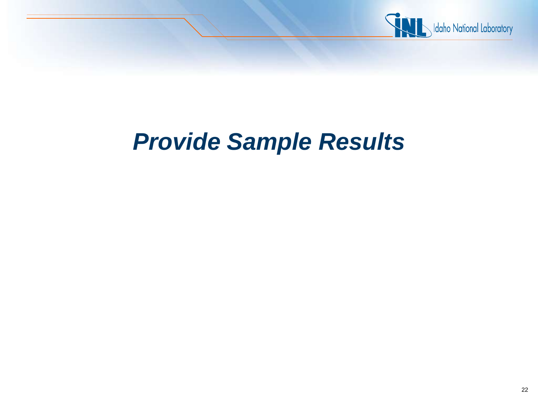

## *Provide Sample Results*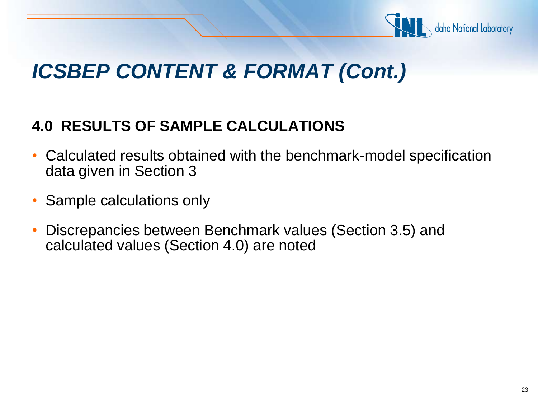

#### **4.0 RESULTS OF SAMPLE CALCULATIONS**

- Calculated results obtained with the benchmark-model specification data given in Section 3
- Sample calculations only
- Discrepancies between Benchmark values (Section 3.5) and calculated values (Section 4.0) are noted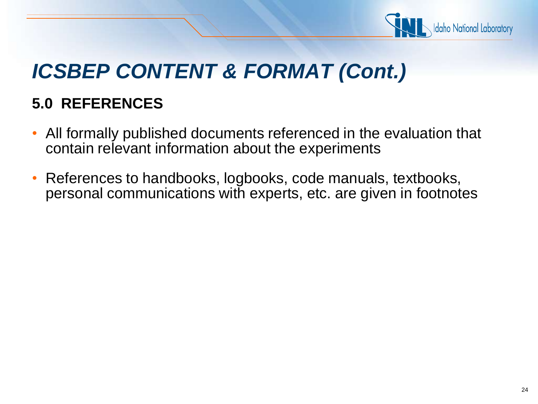

#### **5.0 REFERENCES**

- All formally published documents referenced in the evaluation that contain relevant information about the experiments
- References to handbooks, logbooks, code manuals, textbooks, personal communications with experts, etc. are given in footnotes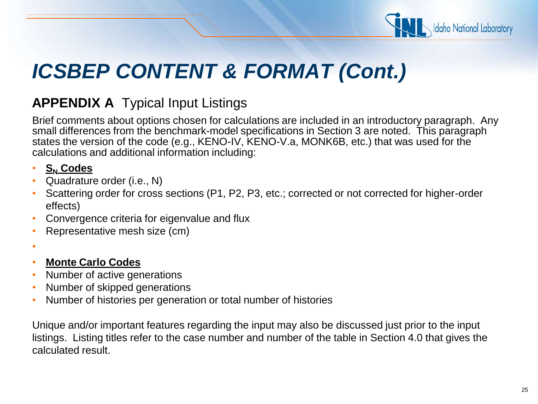

#### **APPENDIX A** Typical Input Listings

Brief comments about options chosen for calculations are included in an introductory paragraph. Any small differences from the benchmark-model specifications in Section 3 are noted. This paragraph states the version of the code (e.g., KENO-IV, KENO-V.a, MONK6B, etc.) that was used for the calculations and additional information including:

- **S<sup>N</sup> Codes**
- Quadrature order (i.e., N)
- Scattering order for cross sections (P1, P2, P3, etc.; corrected or not corrected for higher-order effects)
- Convergence criteria for eigenvalue and flux
- Representative mesh size (cm)
- •
- **Monte Carlo Codes**
- Number of active generations
- Number of skipped generations
- Number of histories per generation or total number of histories

Unique and/or important features regarding the input may also be discussed just prior to the input listings. Listing titles refer to the case number and number of the table in Section 4.0 that gives the calculated result.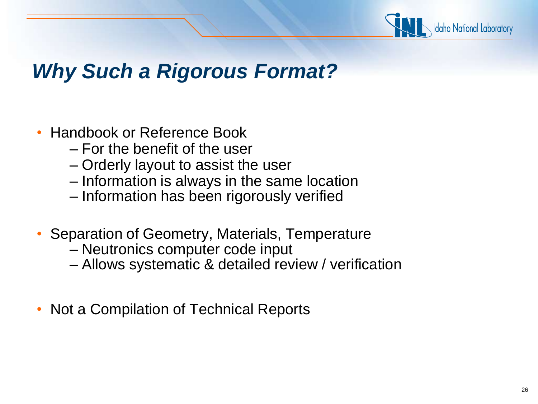

### *Why Such a Rigorous Format?*

- Handbook or Reference Book
	- For the benefit of the user
	- Orderly layout to assist the user
	- Information is always in the same location
	- Information has been rigorously verified
- Separation of Geometry, Materials, Temperature
	- Neutronics computer code input
	- Allows systematic & detailed review / verification
- Not a Compilation of Technical Reports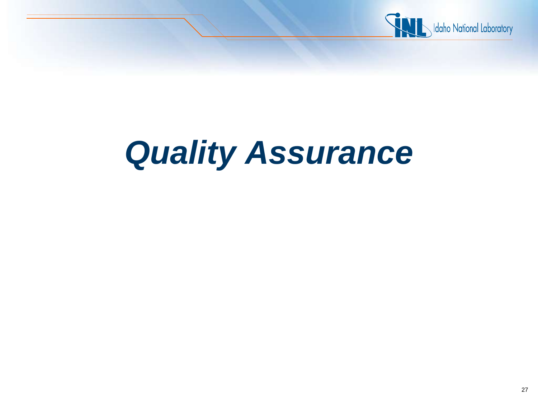

# *Quality Assurance*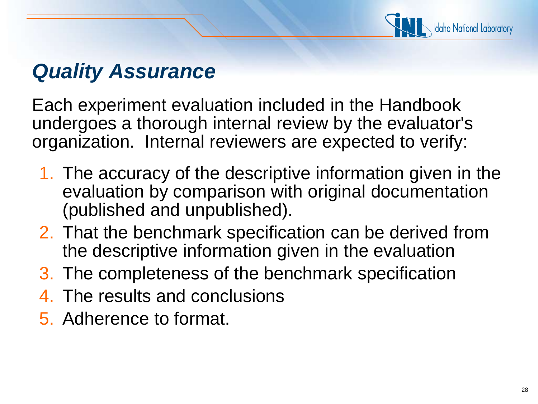

### *Quality Assurance*

Each experiment evaluation included in the Handbook undergoes a thorough internal review by the evaluator's organization. Internal reviewers are expected to verify:

- 1. The accuracy of the descriptive information given in the evaluation by comparison with original documentation (published and unpublished).
- 2. That the benchmark specification can be derived from the descriptive information given in the evaluation
- 3. The completeness of the benchmark specification
- 4. The results and conclusions
- 5. Adherence to format.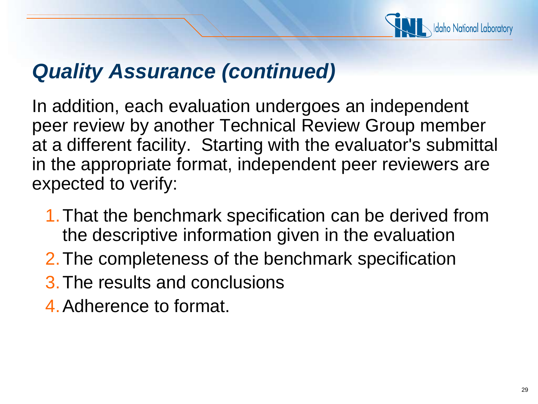

### *Quality Assurance (continued)*

In addition, each evaluation undergoes an independent peer review by another Technical Review Group member at a different facility. Starting with the evaluator's submittal in the appropriate format, independent peer reviewers are expected to verify:

- 1.That the benchmark specification can be derived from the descriptive information given in the evaluation
- 2.The completeness of the benchmark specification
- 3.The results and conclusions
- 4.Adherence to format.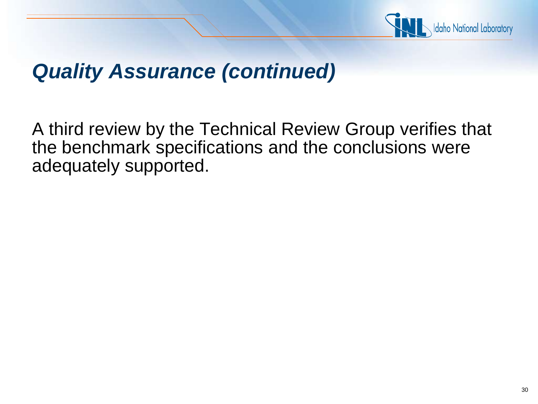

### *Quality Assurance (continued)*

A third review by the Technical Review Group verifies that the benchmark specifications and the conclusions were adequately supported.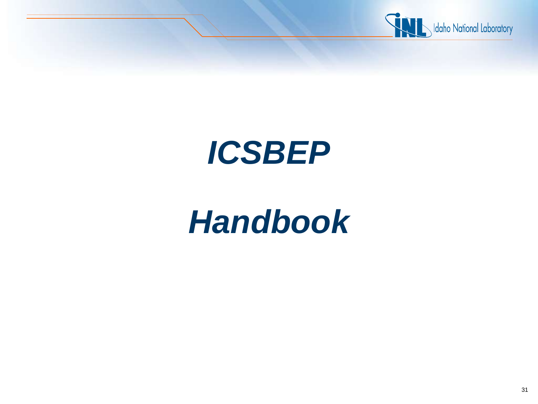

# *ICSBEP*

# *Handbook*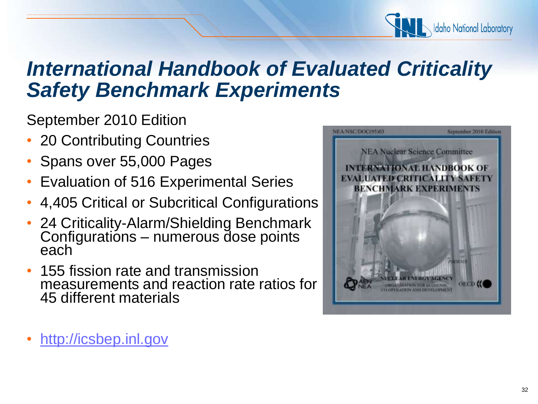

### *International Handbook of Evaluated Criticality Safety Benchmark Experiments*

September 2010 Edition

- 20 Contributing Countries
- Spans over 55,000 Pages
- Evaluation of 516 Experimental Series
- 4,405 Critical or Subcritical Configurations
- 24 Criticality-Alarm/Shielding Benchmark Configurations – numerous dose points each
- 155 fission rate and transmission measurements and reaction rate ratios for 45 different materials



• [http://icsbep.inl.gov](http://icsbep.inl.gov/)